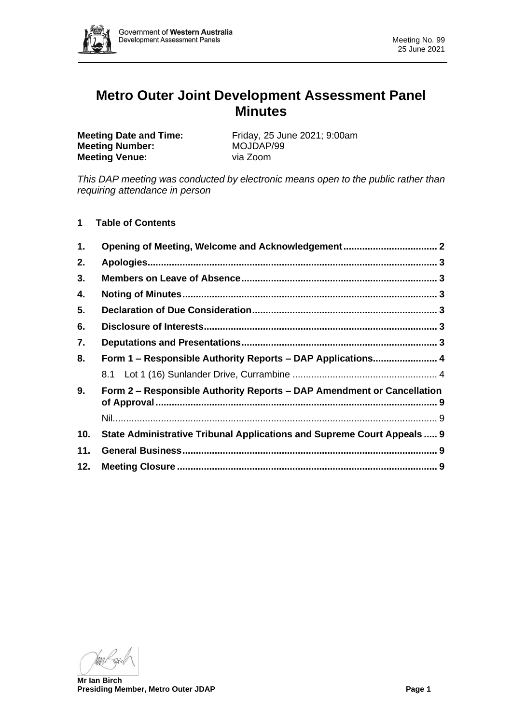

# **Metro Outer Joint Development Assessment Panel Minutes**

**Meeting Number:** MOJDAP/99 **Meeting Venue:** via Zoom

**Meeting Date and Time:** Friday, 25 June 2021; 9:00am

*This DAP meeting was conducted by electronic means open to the public rather than requiring attendance in person*

**1 Table of Contents**

| 1.  |                                                                         |  |
|-----|-------------------------------------------------------------------------|--|
| 2.  |                                                                         |  |
| 3.  |                                                                         |  |
| 4.  |                                                                         |  |
| 5.  |                                                                         |  |
| 6.  |                                                                         |  |
| 7.  |                                                                         |  |
| 8.  | Form 1 - Responsible Authority Reports - DAP Applications 4             |  |
|     |                                                                         |  |
| 9.  | Form 2 – Responsible Authority Reports – DAP Amendment or Cancellation  |  |
|     |                                                                         |  |
| 10. | State Administrative Tribunal Applications and Supreme Court Appeals  9 |  |
| 11. |                                                                         |  |
| 12. |                                                                         |  |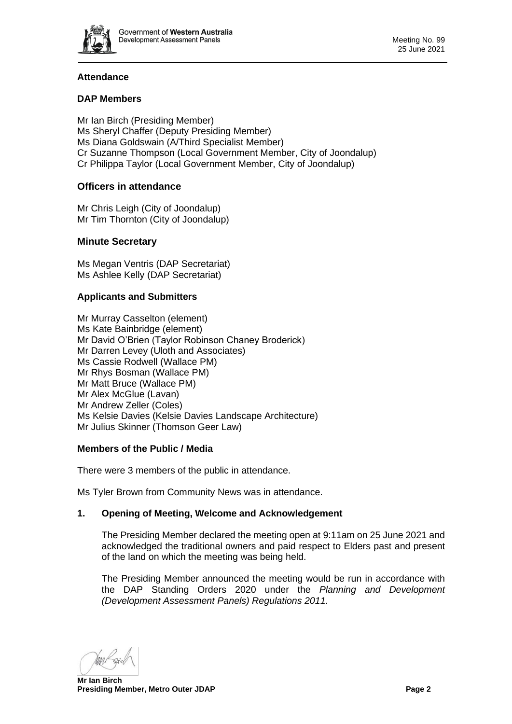

# **Attendance**

## **DAP Members**

Mr Ian Birch (Presiding Member) Ms Sheryl Chaffer (Deputy Presiding Member) Ms Diana Goldswain (A/Third Specialist Member) Cr Suzanne Thompson (Local Government Member, City of Joondalup) Cr Philippa Taylor (Local Government Member, City of Joondalup)

# **Officers in attendance**

Mr Chris Leigh (City of Joondalup) Mr Tim Thornton (City of Joondalup)

## **Minute Secretary**

Ms Megan Ventris (DAP Secretariat) Ms Ashlee Kelly (DAP Secretariat)

## **Applicants and Submitters**

Mr Murray Casselton (element) Ms Kate Bainbridge (element) Mr David O'Brien (Taylor Robinson Chaney Broderick) Mr Darren Levey (Uloth and Associates) Ms Cassie Rodwell (Wallace PM) Mr Rhys Bosman (Wallace PM) Mr Matt Bruce (Wallace PM) Mr Alex McGlue (Lavan) Mr Andrew Zeller (Coles) Ms Kelsie Davies (Kelsie Davies Landscape Architecture) Mr Julius Skinner (Thomson Geer Law)

## **Members of the Public / Media**

There were 3 members of the public in attendance.

<span id="page-1-0"></span>Ms Tyler Brown from Community News was in attendance.

## **1. Opening of Meeting, Welcome and Acknowledgement**

The Presiding Member declared the meeting open at 9:11am on 25 June 2021 and acknowledged the traditional owners and paid respect to Elders past and present of the land on which the meeting was being held.

The Presiding Member announced the meeting would be run in accordance with the DAP Standing Orders 2020 under the *Planning and Development (Development Assessment Panels) Regulations 2011.*

**Mr Ian Birch Presiding Member, Metro Outer JDAP Page 2 Page 2**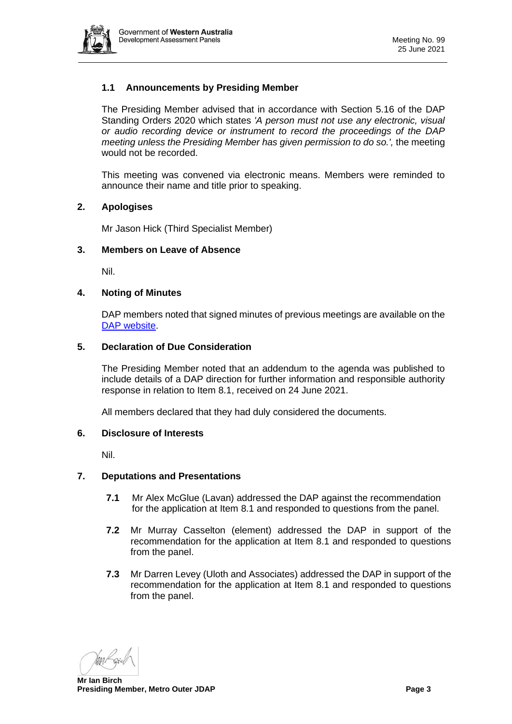

# **1.1 Announcements by Presiding Member**

The Presiding Member advised that in accordance with Section 5.16 of the DAP Standing Orders 2020 which states *'A person must not use any electronic, visual or audio recording device or instrument to record the proceedings of the DAP meeting unless the Presiding Member has given permission to do so.',* the meeting would not be recorded.

This meeting was convened via electronic means. Members were reminded to announce their name and title prior to speaking.

#### <span id="page-2-0"></span>**2. Apologises**

Mr Jason Hick (Third Specialist Member)

#### <span id="page-2-1"></span>**3. Members on Leave of Absence**

Nil.

#### <span id="page-2-2"></span>**4. Noting of Minutes**

DAP members noted that signed minutes of previous meetings are available on the [DAP website.](https://www.dplh.wa.gov.au/about/development-assessment-panels/daps-agendas-and-minutes)

#### <span id="page-2-3"></span>**5. Declaration of Due Consideration**

The Presiding Member noted that an addendum to the agenda was published to include details of a DAP direction for further information and responsible authority response in relation to Item 8.1, received on 24 June 2021.

All members declared that they had duly considered the documents.

#### <span id="page-2-4"></span>**6. Disclosure of Interests**

Nil.

#### <span id="page-2-5"></span>**7. Deputations and Presentations**

- **7.1** Mr Alex McGlue (Lavan) addressed the DAP against the recommendation for the application at Item 8.1 and responded to questions from the panel.
- **7.2** Mr Murray Casselton (element) addressed the DAP in support of the recommendation for the application at Item 8.1 and responded to questions from the panel.
- **7.3** Mr Darren Levey (Uloth and Associates) addressed the DAP in support of the recommendation for the application at Item 8.1 and responded to questions from the panel.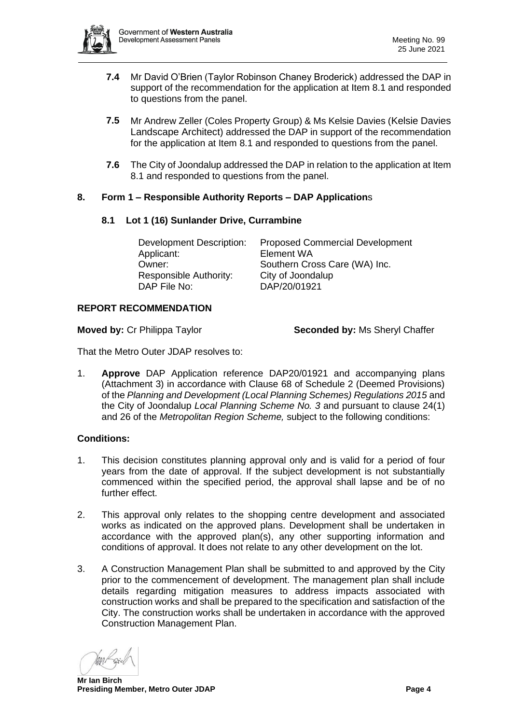

- **7.4** Mr David O'Brien (Taylor Robinson Chaney Broderick) addressed the DAP in support of the recommendation for the application at Item 8.1 and responded to questions from the panel.
- **7.5** Mr Andrew Zeller (Coles Property Group) & Ms Kelsie Davies (Kelsie Davies Landscape Architect) addressed the DAP in support of the recommendation for the application at Item 8.1 and responded to questions from the panel.
- **7.6** The City of Joondalup addressed the DAP in relation to the application at Item 8.1 and responded to questions from the panel.

# <span id="page-3-1"></span><span id="page-3-0"></span>**8. Form 1 – Responsible Authority Reports – DAP Application**s

## **8.1 Lot 1 (16) Sunlander Drive, Currambine**

| <b>Proposed Commercial Development</b> |
|----------------------------------------|
| Element WA                             |
| Southern Cross Care (WA) Inc.          |
| City of Joondalup                      |
| DAP/20/01921                           |
|                                        |

#### **REPORT RECOMMENDATION**

**Moved by:** Cr Philippa Taylor **Seconded by:** Ms Sheryl Chaffer

That the Metro Outer JDAP resolves to:

1. **Approve** DAP Application reference DAP20/01921 and accompanying plans (Attachment 3) in accordance with Clause 68 of Schedule 2 (Deemed Provisions) of the *Planning and Development (Local Planning Schemes) Regulations 2015* and the City of Joondalup *Local Planning Scheme No. 3* and pursuant to clause 24(1) and 26 of the *Metropolitan Region Scheme,* subject to the following conditions:

## **Conditions:**

- 1. This decision constitutes planning approval only and is valid for a period of four years from the date of approval. If the subject development is not substantially commenced within the specified period, the approval shall lapse and be of no further effect.
- 2. This approval only relates to the shopping centre development and associated works as indicated on the approved plans. Development shall be undertaken in accordance with the approved plan(s), any other supporting information and conditions of approval. It does not relate to any other development on the lot.
- 3. A Construction Management Plan shall be submitted to and approved by the City prior to the commencement of development. The management plan shall include details regarding mitigation measures to address impacts associated with construction works and shall be prepared to the specification and satisfaction of the City. The construction works shall be undertaken in accordance with the approved Construction Management Plan.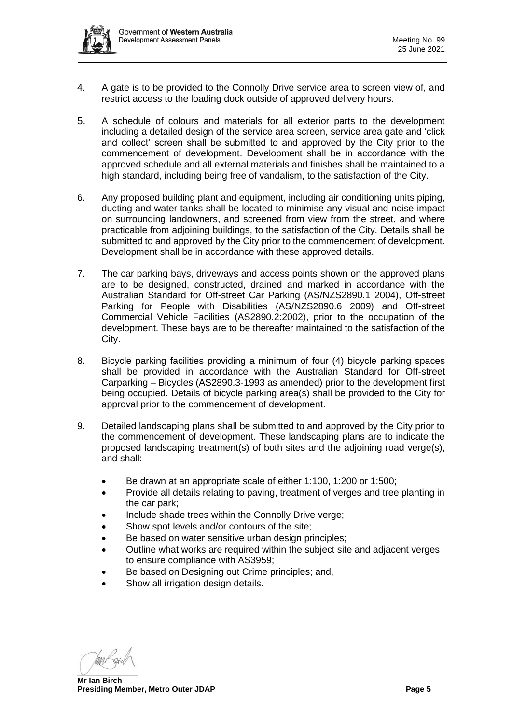

- 4. A gate is to be provided to the Connolly Drive service area to screen view of, and restrict access to the loading dock outside of approved delivery hours.
- 5. A schedule of colours and materials for all exterior parts to the development including a detailed design of the service area screen, service area gate and 'click and collect' screen shall be submitted to and approved by the City prior to the commencement of development. Development shall be in accordance with the approved schedule and all external materials and finishes shall be maintained to a high standard, including being free of vandalism, to the satisfaction of the City.
- 6. Any proposed building plant and equipment, including air conditioning units piping, ducting and water tanks shall be located to minimise any visual and noise impact on surrounding landowners, and screened from view from the street, and where practicable from adjoining buildings, to the satisfaction of the City. Details shall be submitted to and approved by the City prior to the commencement of development. Development shall be in accordance with these approved details.
- 7. The car parking bays, driveways and access points shown on the approved plans are to be designed, constructed, drained and marked in accordance with the Australian Standard for Off-street Car Parking (AS/NZS2890.1 2004), Off-street Parking for People with Disabilities (AS/NZS2890.6 2009) and Off-street Commercial Vehicle Facilities (AS2890.2:2002), prior to the occupation of the development. These bays are to be thereafter maintained to the satisfaction of the City.
- 8. Bicycle parking facilities providing a minimum of four (4) bicycle parking spaces shall be provided in accordance with the Australian Standard for Off-street Carparking – Bicycles (AS2890.3-1993 as amended) prior to the development first being occupied. Details of bicycle parking area(s) shall be provided to the City for approval prior to the commencement of development.
- 9. Detailed landscaping plans shall be submitted to and approved by the City prior to the commencement of development. These landscaping plans are to indicate the proposed landscaping treatment(s) of both sites and the adjoining road verge(s), and shall:
	- Be drawn at an appropriate scale of either 1:100, 1:200 or 1:500;
	- Provide all details relating to paving, treatment of verges and tree planting in the car park;
	- Include shade trees within the Connolly Drive verge;
	- Show spot levels and/or contours of the site;
	- Be based on water sensitive urban design principles;
	- Outline what works are required within the subject site and adjacent verges to ensure compliance with AS3959;
	- Be based on Designing out Crime principles; and,
	- Show all irrigation design details.

**Mr Ian Birch Presiding Member, Metro Outer JDAP Page 5 Page 5**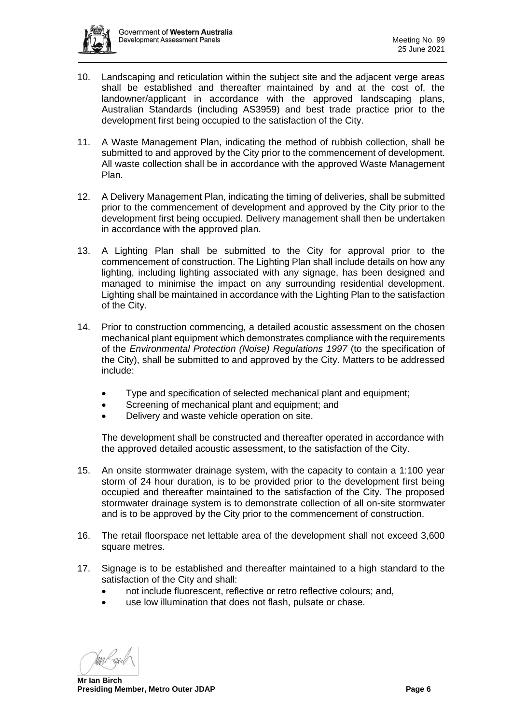

- 10. Landscaping and reticulation within the subject site and the adjacent verge areas shall be established and thereafter maintained by and at the cost of, the landowner/applicant in accordance with the approved landscaping plans, Australian Standards (including AS3959) and best trade practice prior to the development first being occupied to the satisfaction of the City.
- 11. A Waste Management Plan, indicating the method of rubbish collection, shall be submitted to and approved by the City prior to the commencement of development. All waste collection shall be in accordance with the approved Waste Management Plan.
- 12. A Delivery Management Plan, indicating the timing of deliveries, shall be submitted prior to the commencement of development and approved by the City prior to the development first being occupied. Delivery management shall then be undertaken in accordance with the approved plan.
- 13. A Lighting Plan shall be submitted to the City for approval prior to the commencement of construction. The Lighting Plan shall include details on how any lighting, including lighting associated with any signage, has been designed and managed to minimise the impact on any surrounding residential development. Lighting shall be maintained in accordance with the Lighting Plan to the satisfaction of the City.
- 14. Prior to construction commencing, a detailed acoustic assessment on the chosen mechanical plant equipment which demonstrates compliance with the requirements of the *Environmental Protection (Noise) Regulations 1997* (to the specification of the City), shall be submitted to and approved by the City. Matters to be addressed include:
	- Type and specification of selected mechanical plant and equipment;
	- Screening of mechanical plant and equipment; and
	- Delivery and waste vehicle operation on site.

The development shall be constructed and thereafter operated in accordance with the approved detailed acoustic assessment, to the satisfaction of the City.

- 15. An onsite stormwater drainage system, with the capacity to contain a 1:100 year storm of 24 hour duration, is to be provided prior to the development first being occupied and thereafter maintained to the satisfaction of the City. The proposed stormwater drainage system is to demonstrate collection of all on-site stormwater and is to be approved by the City prior to the commencement of construction.
- 16. The retail floorspace net lettable area of the development shall not exceed 3,600 square metres.
- 17. Signage is to be established and thereafter maintained to a high standard to the satisfaction of the City and shall:
	- not include fluorescent, reflective or retro reflective colours; and,
	- use low illumination that does not flash, pulsate or chase.

**Mr Ian Birch Presiding Member, Metro Outer JDAP Page 6 Page 6 Page 6 Page 6**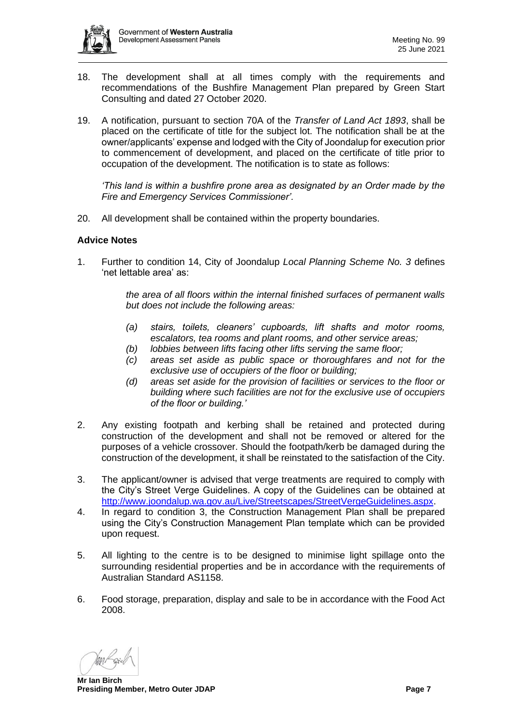

- 18. The development shall at all times comply with the requirements and recommendations of the Bushfire Management Plan prepared by Green Start Consulting and dated 27 October 2020.
- 19. A notification, pursuant to section 70A of the *Transfer of Land Act 1893*, shall be placed on the certificate of title for the subject lot. The notification shall be at the owner/applicants' expense and lodged with the City of Joondalup for execution prior to commencement of development, and placed on the certificate of title prior to occupation of the development. The notification is to state as follows:

*'This land is within a bushfire prone area as designated by an Order made by the Fire and Emergency Services Commissioner'.*

20. All development shall be contained within the property boundaries.

#### **Advice Notes**

1. Further to condition 14, City of Joondalup *Local Planning Scheme No. 3* defines 'net lettable area' as:

> *the area of all floors within the internal finished surfaces of permanent walls but does not include the following areas:*

- *(a) stairs, toilets, cleaners' cupboards, lift shafts and motor rooms, escalators, tea rooms and plant rooms, and other service areas;*
- *(b) lobbies between lifts facing other lifts serving the same floor;*
- *(c) areas set aside as public space or thoroughfares and not for the exclusive use of occupiers of the floor or building;*
- *(d) areas set aside for the provision of facilities or services to the floor or building where such facilities are not for the exclusive use of occupiers of the floor or building.'*
- 2. Any existing footpath and kerbing shall be retained and protected during construction of the development and shall not be removed or altered for the purposes of a vehicle crossover. Should the footpath/kerb be damaged during the construction of the development, it shall be reinstated to the satisfaction of the City.
- 3. The applicant/owner is advised that verge treatments are required to comply with the City's Street Verge Guidelines. A copy of the Guidelines can be obtained at [http://www.joondalup.wa.gov.au/Live/Streetscapes/StreetVergeGuidelines.aspx.](http://www.joondalup.wa.gov.au/Live/Streetscapes/StreetVergeGuidelines.aspx)
- 4. In regard to condition 3, the Construction Management Plan shall be prepared using the City's Construction Management Plan template which can be provided upon request.
- 5. All lighting to the centre is to be designed to minimise light spillage onto the surrounding residential properties and be in accordance with the requirements of Australian Standard AS1158.
- 6. Food storage, preparation, display and sale to be in accordance with the Food Act 2008.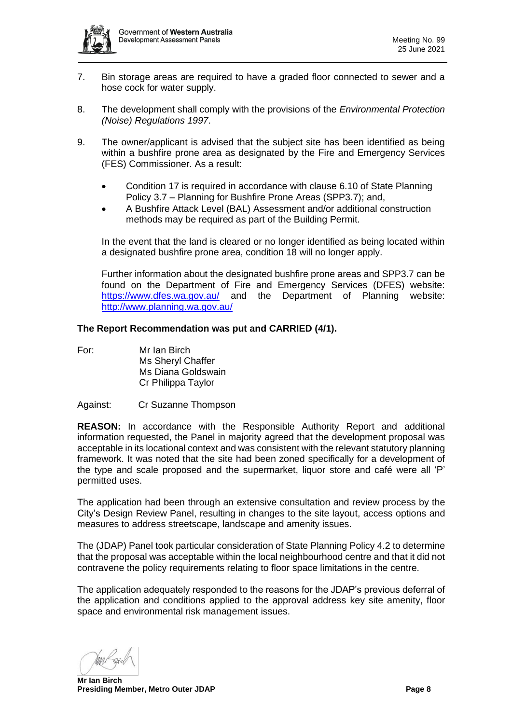

- 7. Bin storage areas are required to have a graded floor connected to sewer and a hose cock for water supply.
- 8. The development shall comply with the provisions of the *Environmental Protection (Noise) Regulations 1997*.
- 9. The owner/applicant is advised that the subject site has been identified as being within a bushfire prone area as designated by the Fire and Emergency Services (FES) Commissioner. As a result:
	- Condition 17 is required in accordance with clause 6.10 of State Planning Policy 3.7 – Planning for Bushfire Prone Areas (SPP3.7); and,
	- A Bushfire Attack Level (BAL) Assessment and/or additional construction methods may be required as part of the Building Permit.

In the event that the land is cleared or no longer identified as being located within a designated bushfire prone area, condition 18 will no longer apply.

Further information about the designated bushfire prone areas and SPP3.7 can be found on the Department of Fire and Emergency Services (DFES) website: <https://www.dfes.wa.gov.au/> and the Department of Planning website: <http://www.planning.wa.gov.au/>

#### **The Report Recommendation was put and CARRIED (4/1).**

- For: Mr Ian Birch Ms Sheryl Chaffer Ms Diana Goldswain Cr Philippa Taylor
- Against: Cr Suzanne Thompson

**REASON:** In accordance with the Responsible Authority Report and additional information requested, the Panel in majority agreed that the development proposal was acceptable in its locational context and was consistent with the relevant statutory planning framework. It was noted that the site had been zoned specifically for a development of the type and scale proposed and the supermarket, liquor store and café were all 'P' permitted uses.

The application had been through an extensive consultation and review process by the City's Design Review Panel, resulting in changes to the site layout, access options and measures to address streetscape, landscape and amenity issues.

The (JDAP) Panel took particular consideration of State Planning Policy 4.2 to determine that the proposal was acceptable within the local neighbourhood centre and that it did not contravene the policy requirements relating to floor space limitations in the centre.

The application adequately responded to the reasons for the JDAP's previous deferral of the application and conditions applied to the approval address key site amenity, floor space and environmental risk management issues.

**Mr Ian Birch Presiding Member, Metro Outer JDAP Page 8**